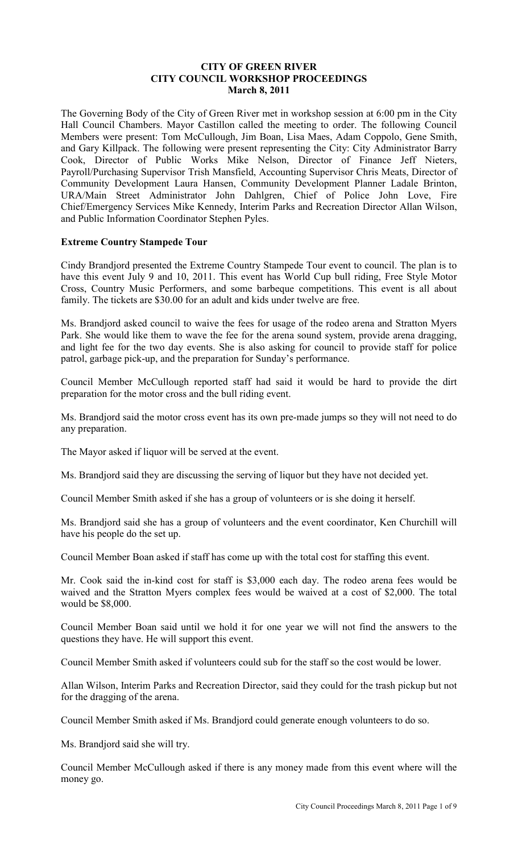## **CITY OF GREEN RIVER CITY COUNCIL WORKSHOP PROCEEDINGS March 8, 2011**

The Governing Body of the City of Green River met in workshop session at 6:00 pm in the City Hall Council Chambers. Mayor Castillon called the meeting to order. The following Council Members were present: Tom McCullough, Jim Boan, Lisa Maes, Adam Coppolo, Gene Smith, and Gary Killpack. The following were present representing the City: City Administrator Barry Cook, Director of Public Works Mike Nelson, Director of Finance Jeff Nieters, Payroll/Purchasing Supervisor Trish Mansfield, Accounting Supervisor Chris Meats, Director of Community Development Laura Hansen, Community Development Planner Ladale Brinton, URA/Main Street Administrator John Dahlgren, Chief of Police John Love, Fire Chief/Emergency Services Mike Kennedy, Interim Parks and Recreation Director Allan Wilson, and Public Information Coordinator Stephen Pyles.

## **Extreme Country Stampede Tour**

Cindy Brandjord presented the Extreme Country Stampede Tour event to council. The plan is to have this event July 9 and 10, 2011. This event has World Cup bull riding, Free Style Motor Cross, Country Music Performers, and some barbeque competitions. This event is all about family. The tickets are \$30.00 for an adult and kids under twelve are free.

Ms. Brandjord asked council to waive the fees for usage of the rodeo arena and Stratton Myers Park. She would like them to wave the fee for the arena sound system, provide arena dragging, and light fee for the two day events. She is also asking for council to provide staff for police patrol, garbage pick-up, and the preparation for Sunday's performance.

Council Member McCullough reported staff had said it would be hard to provide the dirt preparation for the motor cross and the bull riding event.

Ms. Brandjord said the motor cross event has its own pre-made jumps so they will not need to do any preparation.

The Mayor asked if liquor will be served at the event.

Ms. Brandjord said they are discussing the serving of liquor but they have not decided yet.

Council Member Smith asked if she has a group of volunteers or is she doing it herself.

Ms. Brandjord said she has a group of volunteers and the event coordinator, Ken Churchill will have his people do the set up.

Council Member Boan asked if staff has come up with the total cost for staffing this event.

Mr. Cook said the in-kind cost for staff is \$3,000 each day. The rodeo arena fees would be waived and the Stratton Myers complex fees would be waived at a cost of \$2,000. The total would be \$8,000.

Council Member Boan said until we hold it for one year we will not find the answers to the questions they have. He will support this event.

Council Member Smith asked if volunteers could sub for the staff so the cost would be lower.

Allan Wilson, Interim Parks and Recreation Director, said they could for the trash pickup but not for the dragging of the arena.

Council Member Smith asked if Ms. Brandjord could generate enough volunteers to do so.

Ms. Brandjord said she will try.

Council Member McCullough asked if there is any money made from this event where will the money go.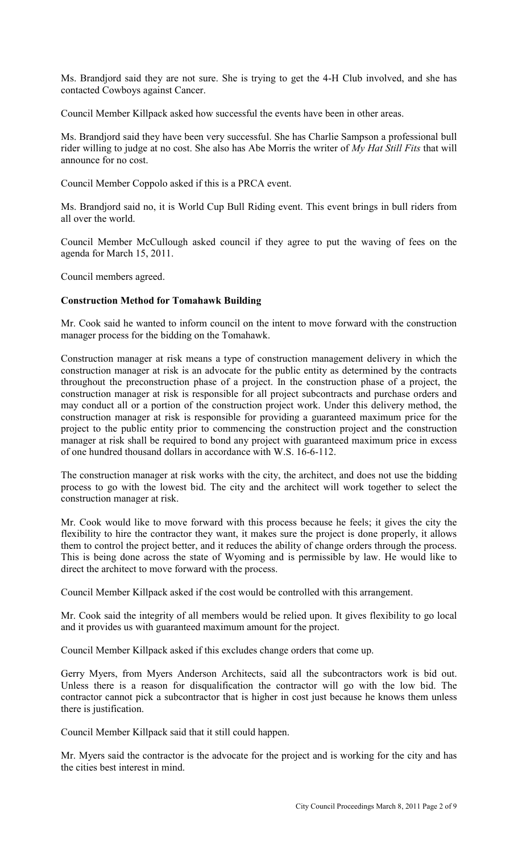Ms. Brandjord said they are not sure. She is trying to get the 4-H Club involved, and she has contacted Cowboys against Cancer.

Council Member Killpack asked how successful the events have been in other areas.

Ms. Brandjord said they have been very successful. She has Charlie Sampson a professional bull rider willing to judge at no cost. She also has Abe Morris the writer of *My Hat Still Fits* that will announce for no cost.

Council Member Coppolo asked if this is a PRCA event.

Ms. Brandjord said no, it is World Cup Bull Riding event. This event brings in bull riders from all over the world.

Council Member McCullough asked council if they agree to put the waving of fees on the agenda for March 15, 2011.

Council members agreed.

# **Construction Method for Tomahawk Building**

Mr. Cook said he wanted to inform council on the intent to move forward with the construction manager process for the bidding on the Tomahawk.

Construction manager at risk means a type of construction management delivery in which the construction manager at risk is an advocate for the public entity as determined by the contracts throughout the preconstruction phase of a project. In the construction phase of a project, the construction manager at risk is responsible for all project subcontracts and purchase orders and may conduct all or a portion of the construction project work. Under this delivery method, the construction manager at risk is responsible for providing a guaranteed maximum price for the project to the public entity prior to commencing the construction project and the construction manager at risk shall be required to bond any project with guaranteed maximum price in excess of one hundred thousand dollars in accordance with W.S. 16-6-112.

The construction manager at risk works with the city, the architect, and does not use the bidding process to go with the lowest bid. The city and the architect will work together to select the construction manager at risk.

Mr. Cook would like to move forward with this process because he feels; it gives the city the flexibility to hire the contractor they want, it makes sure the project is done properly, it allows them to control the project better, and it reduces the ability of change orders through the process. This is being done across the state of Wyoming and is permissible by law. He would like to direct the architect to move forward with the process.

Council Member Killpack asked if the cost would be controlled with this arrangement.

Mr. Cook said the integrity of all members would be relied upon. It gives flexibility to go local and it provides us with guaranteed maximum amount for the project.

Council Member Killpack asked if this excludes change orders that come up.

Gerry Myers, from Myers Anderson Architects, said all the subcontractors work is bid out. Unless there is a reason for disqualification the contractor will go with the low bid. The contractor cannot pick a subcontractor that is higher in cost just because he knows them unless there is justification.

Council Member Killpack said that it still could happen.

Mr. Myers said the contractor is the advocate for the project and is working for the city and has the cities best interest in mind.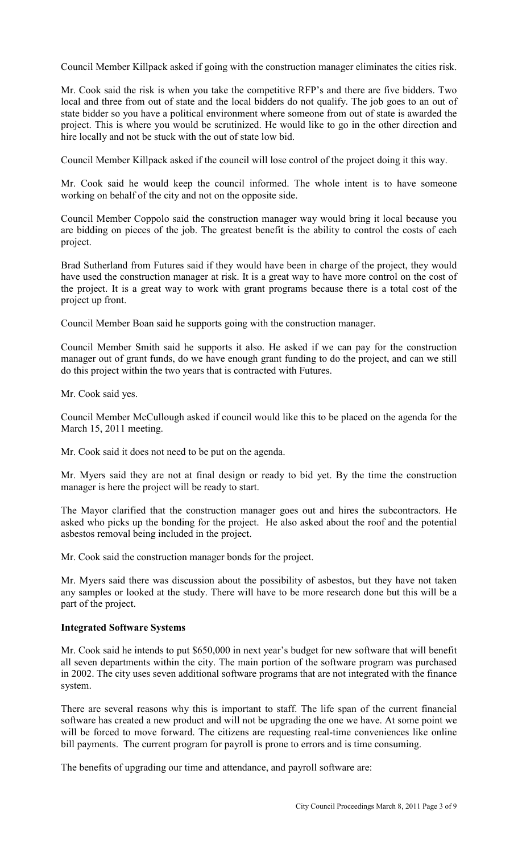Council Member Killpack asked if going with the construction manager eliminates the cities risk.

Mr. Cook said the risk is when you take the competitive RFP's and there are five bidders. Two local and three from out of state and the local bidders do not qualify. The job goes to an out of state bidder so you have a political environment where someone from out of state is awarded the project. This is where you would be scrutinized. He would like to go in the other direction and hire locally and not be stuck with the out of state low bid.

Council Member Killpack asked if the council will lose control of the project doing it this way.

Mr. Cook said he would keep the council informed. The whole intent is to have someone working on behalf of the city and not on the opposite side.

Council Member Coppolo said the construction manager way would bring it local because you are bidding on pieces of the job. The greatest benefit is the ability to control the costs of each project.

Brad Sutherland from Futures said if they would have been in charge of the project, they would have used the construction manager at risk. It is a great way to have more control on the cost of the project. It is a great way to work with grant programs because there is a total cost of the project up front.

Council Member Boan said he supports going with the construction manager.

Council Member Smith said he supports it also. He asked if we can pay for the construction manager out of grant funds, do we have enough grant funding to do the project, and can we still do this project within the two years that is contracted with Futures.

Mr. Cook said yes.

Council Member McCullough asked if council would like this to be placed on the agenda for the March 15, 2011 meeting.

Mr. Cook said it does not need to be put on the agenda.

Mr. Myers said they are not at final design or ready to bid yet. By the time the construction manager is here the project will be ready to start.

The Mayor clarified that the construction manager goes out and hires the subcontractors. He asked who picks up the bonding for the project. He also asked about the roof and the potential asbestos removal being included in the project.

Mr. Cook said the construction manager bonds for the project.

Mr. Myers said there was discussion about the possibility of asbestos, but they have not taken any samples or looked at the study. There will have to be more research done but this will be a part of the project.

#### **Integrated Software Systems**

Mr. Cook said he intends to put \$650,000 in next year's budget for new software that will benefit all seven departments within the city. The main portion of the software program was purchased in 2002. The city uses seven additional software programs that are not integrated with the finance system.

There are several reasons why this is important to staff. The life span of the current financial software has created a new product and will not be upgrading the one we have. At some point we will be forced to move forward. The citizens are requesting real-time conveniences like online bill payments. The current program for payroll is prone to errors and is time consuming.

The benefits of upgrading our time and attendance, and payroll software are: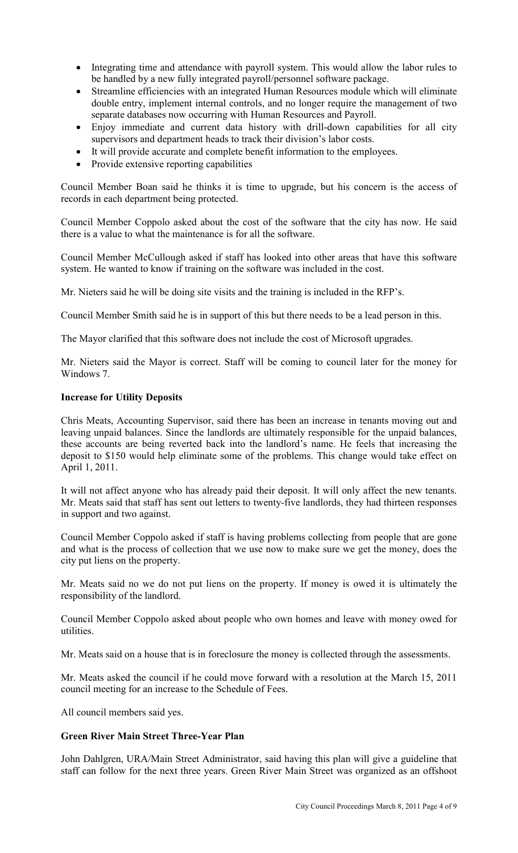- Integrating time and attendance with payroll system. This would allow the labor rules to be handled by a new fully integrated payroll/personnel software package.
- Streamline efficiencies with an integrated Human Resources module which will eliminate double entry, implement internal controls, and no longer require the management of two separate databases now occurring with Human Resources and Payroll.
- Enjoy immediate and current data history with drill-down capabilities for all city supervisors and department heads to track their division's labor costs.
- It will provide accurate and complete benefit information to the employees.
- Provide extensive reporting capabilities

Council Member Boan said he thinks it is time to upgrade, but his concern is the access of records in each department being protected.

Council Member Coppolo asked about the cost of the software that the city has now. He said there is a value to what the maintenance is for all the software.

Council Member McCullough asked if staff has looked into other areas that have this software system. He wanted to know if training on the software was included in the cost.

Mr. Nieters said he will be doing site visits and the training is included in the RFP's.

Council Member Smith said he is in support of this but there needs to be a lead person in this.

The Mayor clarified that this software does not include the cost of Microsoft upgrades.

Mr. Nieters said the Mayor is correct. Staff will be coming to council later for the money for Windows 7.

#### **Increase for Utility Deposits**

Chris Meats, Accounting Supervisor, said there has been an increase in tenants moving out and leaving unpaid balances. Since the landlords are ultimately responsible for the unpaid balances, these accounts are being reverted back into the landlord's name. He feels that increasing the deposit to \$150 would help eliminate some of the problems. This change would take effect on April 1, 2011.

It will not affect anyone who has already paid their deposit. It will only affect the new tenants. Mr. Meats said that staff has sent out letters to twenty-five landlords, they had thirteen responses in support and two against.

Council Member Coppolo asked if staff is having problems collecting from people that are gone and what is the process of collection that we use now to make sure we get the money, does the city put liens on the property.

Mr. Meats said no we do not put liens on the property. If money is owed it is ultimately the responsibility of the landlord.

Council Member Coppolo asked about people who own homes and leave with money owed for utilities.

Mr. Meats said on a house that is in foreclosure the money is collected through the assessments.

Mr. Meats asked the council if he could move forward with a resolution at the March 15, 2011 council meeting for an increase to the Schedule of Fees.

All council members said yes.

## **Green River Main Street Three-Year Plan**

John Dahlgren, URA/Main Street Administrator, said having this plan will give a guideline that staff can follow for the next three years. Green River Main Street was organized as an offshoot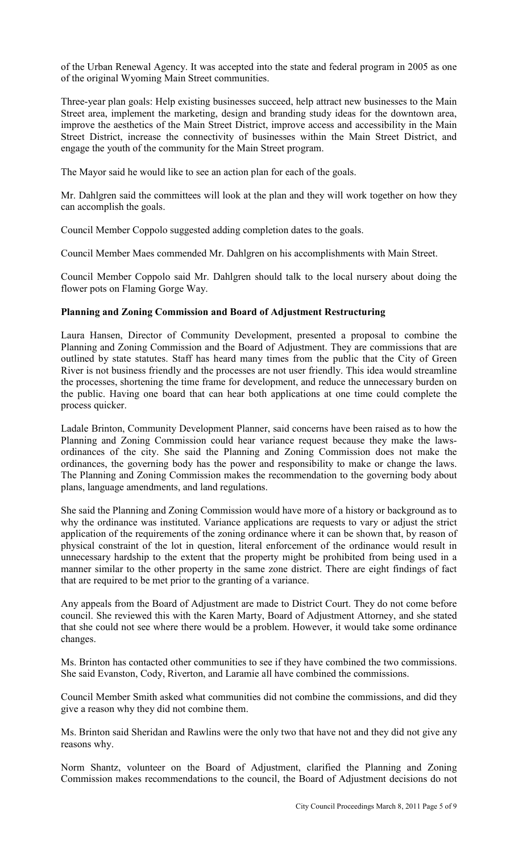of the Urban Renewal Agency. It was accepted into the state and federal program in 2005 as one of the original Wyoming Main Street communities.

Three-year plan goals: Help existing businesses succeed, help attract new businesses to the Main Street area, implement the marketing, design and branding study ideas for the downtown area, improve the aesthetics of the Main Street District, improve access and accessibility in the Main Street District, increase the connectivity of businesses within the Main Street District, and engage the youth of the community for the Main Street program.

The Mayor said he would like to see an action plan for each of the goals.

Mr. Dahlgren said the committees will look at the plan and they will work together on how they can accomplish the goals.

Council Member Coppolo suggested adding completion dates to the goals.

Council Member Maes commended Mr. Dahlgren on his accomplishments with Main Street.

Council Member Coppolo said Mr. Dahlgren should talk to the local nursery about doing the flower pots on Flaming Gorge Way.

## **Planning and Zoning Commission and Board of Adjustment Restructuring**

Laura Hansen, Director of Community Development, presented a proposal to combine the Planning and Zoning Commission and the Board of Adjustment. They are commissions that are outlined by state statutes. Staff has heard many times from the public that the City of Green River is not business friendly and the processes are not user friendly. This idea would streamline the processes, shortening the time frame for development, and reduce the unnecessary burden on the public. Having one board that can hear both applications at one time could complete the process quicker.

Ladale Brinton, Community Development Planner, said concerns have been raised as to how the Planning and Zoning Commission could hear variance request because they make the lawsordinances of the city. She said the Planning and Zoning Commission does not make the ordinances, the governing body has the power and responsibility to make or change the laws. The Planning and Zoning Commission makes the recommendation to the governing body about plans, language amendments, and land regulations.

She said the Planning and Zoning Commission would have more of a history or background as to why the ordinance was instituted. Variance applications are requests to vary or adjust the strict application of the requirements of the zoning ordinance where it can be shown that, by reason of physical constraint of the lot in question, literal enforcement of the ordinance would result in unnecessary hardship to the extent that the property might be prohibited from being used in a manner similar to the other property in the same zone district. There are eight findings of fact that are required to be met prior to the granting of a variance.

Any appeals from the Board of Adjustment are made to District Court. They do not come before council. She reviewed this with the Karen Marty, Board of Adjustment Attorney, and she stated that she could not see where there would be a problem. However, it would take some ordinance changes.

Ms. Brinton has contacted other communities to see if they have combined the two commissions. She said Evanston, Cody, Riverton, and Laramie all have combined the commissions.

Council Member Smith asked what communities did not combine the commissions, and did they give a reason why they did not combine them.

Ms. Brinton said Sheridan and Rawlins were the only two that have not and they did not give any reasons why.

Norm Shantz, volunteer on the Board of Adjustment, clarified the Planning and Zoning Commission makes recommendations to the council, the Board of Adjustment decisions do not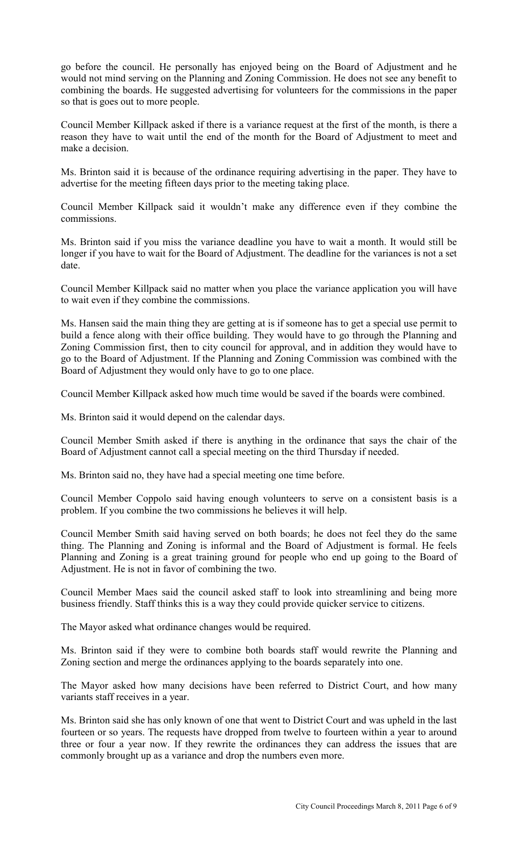go before the council. He personally has enjoyed being on the Board of Adjustment and he would not mind serving on the Planning and Zoning Commission. He does not see any benefit to combining the boards. He suggested advertising for volunteers for the commissions in the paper so that is goes out to more people.

Council Member Killpack asked if there is a variance request at the first of the month, is there a reason they have to wait until the end of the month for the Board of Adjustment to meet and make a decision.

Ms. Brinton said it is because of the ordinance requiring advertising in the paper. They have to advertise for the meeting fifteen days prior to the meeting taking place.

Council Member Killpack said it wouldn't make any difference even if they combine the commissions.

Ms. Brinton said if you miss the variance deadline you have to wait a month. It would still be longer if you have to wait for the Board of Adjustment. The deadline for the variances is not a set date.

Council Member Killpack said no matter when you place the variance application you will have to wait even if they combine the commissions.

Ms. Hansen said the main thing they are getting at is if someone has to get a special use permit to build a fence along with their office building. They would have to go through the Planning and Zoning Commission first, then to city council for approval, and in addition they would have to go to the Board of Adjustment. If the Planning and Zoning Commission was combined with the Board of Adjustment they would only have to go to one place.

Council Member Killpack asked how much time would be saved if the boards were combined.

Ms. Brinton said it would depend on the calendar days.

Council Member Smith asked if there is anything in the ordinance that says the chair of the Board of Adjustment cannot call a special meeting on the third Thursday if needed.

Ms. Brinton said no, they have had a special meeting one time before.

Council Member Coppolo said having enough volunteers to serve on a consistent basis is a problem. If you combine the two commissions he believes it will help.

Council Member Smith said having served on both boards; he does not feel they do the same thing. The Planning and Zoning is informal and the Board of Adjustment is formal. He feels Planning and Zoning is a great training ground for people who end up going to the Board of Adjustment. He is not in favor of combining the two.

Council Member Maes said the council asked staff to look into streamlining and being more business friendly. Staff thinks this is a way they could provide quicker service to citizens.

The Mayor asked what ordinance changes would be required.

Ms. Brinton said if they were to combine both boards staff would rewrite the Planning and Zoning section and merge the ordinances applying to the boards separately into one.

The Mayor asked how many decisions have been referred to District Court, and how many variants staff receives in a year.

Ms. Brinton said she has only known of one that went to District Court and was upheld in the last fourteen or so years. The requests have dropped from twelve to fourteen within a year to around three or four a year now. If they rewrite the ordinances they can address the issues that are commonly brought up as a variance and drop the numbers even more.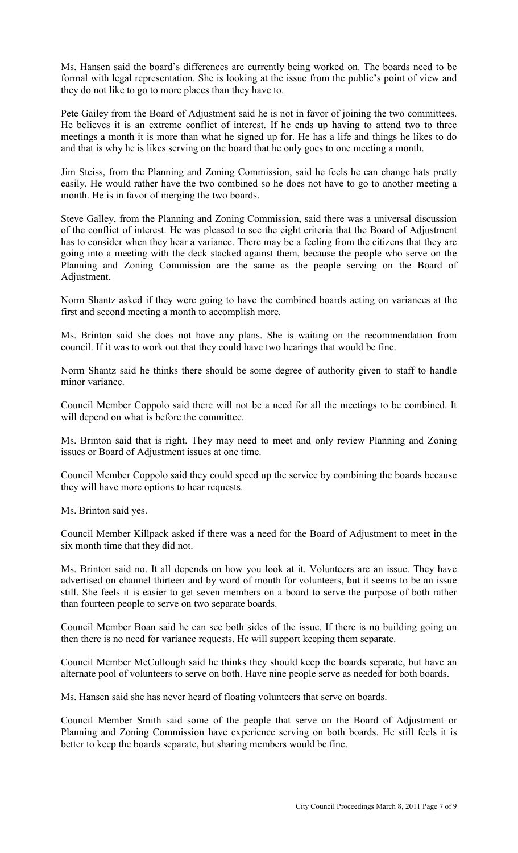Ms. Hansen said the board's differences are currently being worked on. The boards need to be formal with legal representation. She is looking at the issue from the public's point of view and they do not like to go to more places than they have to.

Pete Gailey from the Board of Adjustment said he is not in favor of joining the two committees. He believes it is an extreme conflict of interest. If he ends up having to attend two to three meetings a month it is more than what he signed up for. He has a life and things he likes to do and that is why he is likes serving on the board that he only goes to one meeting a month.

Jim Steiss, from the Planning and Zoning Commission, said he feels he can change hats pretty easily. He would rather have the two combined so he does not have to go to another meeting a month. He is in favor of merging the two boards.

Steve Galley, from the Planning and Zoning Commission, said there was a universal discussion of the conflict of interest. He was pleased to see the eight criteria that the Board of Adjustment has to consider when they hear a variance. There may be a feeling from the citizens that they are going into a meeting with the deck stacked against them, because the people who serve on the Planning and Zoning Commission are the same as the people serving on the Board of Adjustment.

Norm Shantz asked if they were going to have the combined boards acting on variances at the first and second meeting a month to accomplish more.

Ms. Brinton said she does not have any plans. She is waiting on the recommendation from council. If it was to work out that they could have two hearings that would be fine.

Norm Shantz said he thinks there should be some degree of authority given to staff to handle minor variance.

Council Member Coppolo said there will not be a need for all the meetings to be combined. It will depend on what is before the committee.

Ms. Brinton said that is right. They may need to meet and only review Planning and Zoning issues or Board of Adjustment issues at one time.

Council Member Coppolo said they could speed up the service by combining the boards because they will have more options to hear requests.

Ms. Brinton said yes.

Council Member Killpack asked if there was a need for the Board of Adjustment to meet in the six month time that they did not.

Ms. Brinton said no. It all depends on how you look at it. Volunteers are an issue. They have advertised on channel thirteen and by word of mouth for volunteers, but it seems to be an issue still. She feels it is easier to get seven members on a board to serve the purpose of both rather than fourteen people to serve on two separate boards.

Council Member Boan said he can see both sides of the issue. If there is no building going on then there is no need for variance requests. He will support keeping them separate.

Council Member McCullough said he thinks they should keep the boards separate, but have an alternate pool of volunteers to serve on both. Have nine people serve as needed for both boards.

Ms. Hansen said she has never heard of floating volunteers that serve on boards.

Council Member Smith said some of the people that serve on the Board of Adjustment or Planning and Zoning Commission have experience serving on both boards. He still feels it is better to keep the boards separate, but sharing members would be fine.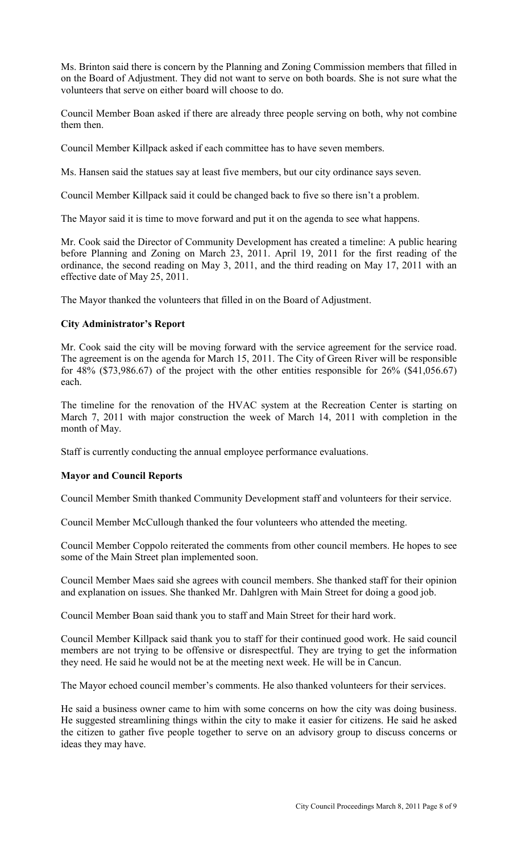Ms. Brinton said there is concern by the Planning and Zoning Commission members that filled in on the Board of Adjustment. They did not want to serve on both boards. She is not sure what the volunteers that serve on either board will choose to do.

Council Member Boan asked if there are already three people serving on both, why not combine them then.

Council Member Killpack asked if each committee has to have seven members.

Ms. Hansen said the statues say at least five members, but our city ordinance says seven.

Council Member Killpack said it could be changed back to five so there isn't a problem.

The Mayor said it is time to move forward and put it on the agenda to see what happens.

Mr. Cook said the Director of Community Development has created a timeline: A public hearing before Planning and Zoning on March 23, 2011. April 19, 2011 for the first reading of the ordinance, the second reading on May 3, 2011, and the third reading on May 17, 2011 with an effective date of May 25, 2011.

The Mayor thanked the volunteers that filled in on the Board of Adjustment.

#### **City Administrator's Report**

Mr. Cook said the city will be moving forward with the service agreement for the service road. The agreement is on the agenda for March 15, 2011. The City of Green River will be responsible for  $48\%$  (\$73,986.67) of the project with the other entities responsible for  $26\%$  (\$41,056.67) each.

The timeline for the renovation of the HVAC system at the Recreation Center is starting on March 7, 2011 with major construction the week of March 14, 2011 with completion in the month of May.

Staff is currently conducting the annual employee performance evaluations.

## **Mayor and Council Reports**

Council Member Smith thanked Community Development staff and volunteers for their service.

Council Member McCullough thanked the four volunteers who attended the meeting.

Council Member Coppolo reiterated the comments from other council members. He hopes to see some of the Main Street plan implemented soon.

Council Member Maes said she agrees with council members. She thanked staff for their opinion and explanation on issues. She thanked Mr. Dahlgren with Main Street for doing a good job.

Council Member Boan said thank you to staff and Main Street for their hard work.

Council Member Killpack said thank you to staff for their continued good work. He said council members are not trying to be offensive or disrespectful. They are trying to get the information they need. He said he would not be at the meeting next week. He will be in Cancun.

The Mayor echoed council member's comments. He also thanked volunteers for their services.

He said a business owner came to him with some concerns on how the city was doing business. He suggested streamlining things within the city to make it easier for citizens. He said he asked the citizen to gather five people together to serve on an advisory group to discuss concerns or ideas they may have.